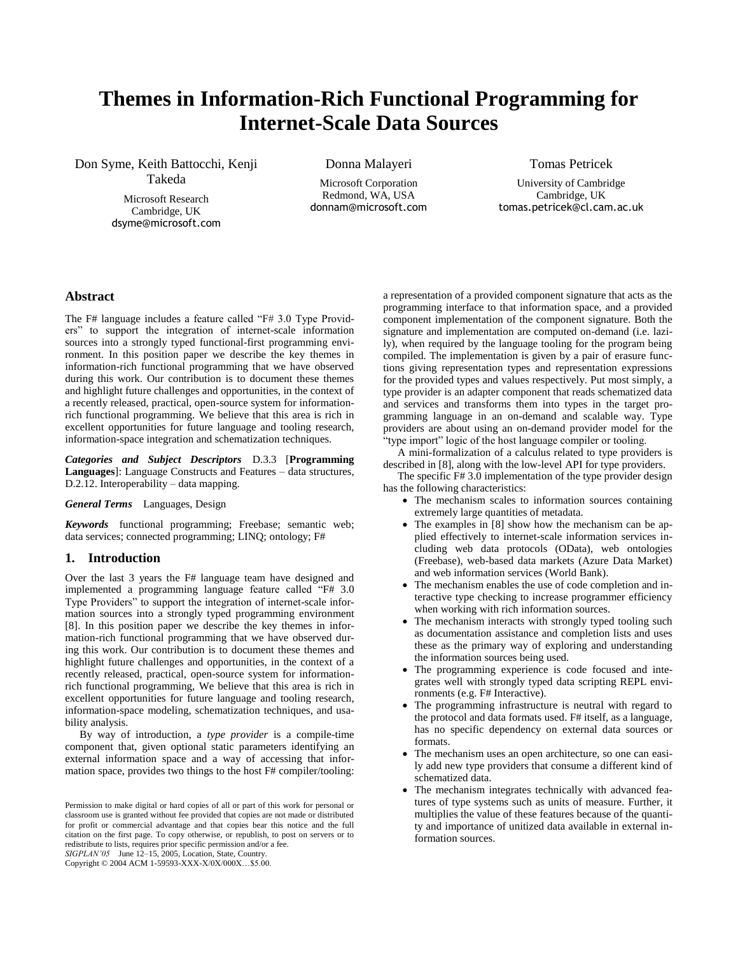# **Themes in Information-Rich Functional Programming for Internet-Scale Data Sources**

Don Syme, Keith Battocchi, Kenji Takeda

> Microsoft Research Cambridge, UK dsyme@microsoft.com

Donna Malayeri

Microsoft Corporation Redmond, WA, USA donnam@microsoft.com Tomas Petricek

University of Cambridge Cambridge, UK tomas.petricek@cl.cam.ac.uk

## **Abstract**

The F# language includes a feature called "F# 3.0 Type Providers" to support the integration of internet-scale information sources into a strongly typed functional-first programming environment. In this position paper we describe the key themes in information-rich functional programming that we have observed during this work. Our contribution is to document these themes and highlight future challenges and opportunities, in the context of a recently released, practical, open-source system for informationrich functional programming. We believe that this area is rich in excellent opportunities for future language and tooling research, information-space integration and schematization techniques.

*Categories and Subject Descriptors* D.3.3 [**Programming Languages**]: Language Constructs and Features – data structures, D.2.12. Interoperability – data mapping.

*General Terms* Languages, Design

*Keywords* functional programming; Freebase; semantic web; data services; connected programming; LINQ; ontology; F#

## **1. Introduction**

Over the last 3 years the F# language team have designed and implemented a programming language feature called "F# 3.0 Type Providers" to support the integration of internet-scale information sources into a strongly typed programming environment [8]. In this position paper we describe the key themes in information-rich functional programming that we have observed during this work. Our contribution is to document these themes and highlight future challenges and opportunities, in the context of a recently released, practical, open-source system for informationrich functional programming, We believe that this area is rich in excellent opportunities for future language and tooling research, information-space modeling, schematization techniques, and usability analysis.

By way of introduction, a *type provider* is a compile-time component that, given optional static parameters identifying an external information space and a way of accessing that information space, provides two things to the host F# compiler/tooling:

Copyright © 2004 ACM 1-59593-XXX-X/0X/000X…\$5.00.

a representation of a provided component signature that acts as the programming interface to that information space, and a provided component implementation of the component signature. Both the signature and implementation are computed on-demand (i.e. lazily), when required by the language tooling for the program being compiled. The implementation is given by a pair of erasure functions giving representation types and representation expressions for the provided types and values respectively. Put most simply, a type provider is an adapter component that reads schematized data and services and transforms them into types in the target programming language in an on-demand and scalable way. Type providers are about using an on-demand provider model for the 'type import'' logic of the host language compiler or tooling.

A mini-formalization of a calculus related to type providers is described in [8], along with the low-level API for type providers.

The specific F# 3.0 implementation of the type provider design has the following characteristics:

- The mechanism scales to information sources containing extremely large quantities of metadata.
- The examples in [8] show how the mechanism can be applied effectively to internet-scale information services including web data protocols (OData), web ontologies (Freebase), web-based data markets (Azure Data Market) and web information services (World Bank).
- The mechanism enables the use of code completion and interactive type checking to increase programmer efficiency when working with rich information sources.
- The mechanism interacts with strongly typed tooling such as documentation assistance and completion lists and uses these as the primary way of exploring and understanding the information sources being used.
- The programming experience is code focused and integrates well with strongly typed data scripting REPL environments (e.g. F# Interactive).
- The programming infrastructure is neutral with regard to the protocol and data formats used. F# itself, as a language, has no specific dependency on external data sources or formats.
- The mechanism uses an open architecture, so one can easily add new type providers that consume a different kind of schematized data.
- The mechanism integrates technically with advanced features of type systems such as units of measure. Further, it multiplies the value of these features because of the quantity and importance of unitized data available in external information sources.

Permission to make digital or hard copies of all or part of this work for personal or classroom use is granted without fee provided that copies are not made or distributed for profit or commercial advantage and that copies bear this notice and the full citation on the first page. To copy otherwise, or republish, to post on servers or to redistribute to lists, requires prior specific permission and/or a fee. *SIGPLAN'05* June 12–15, 2005, Location, State, Country.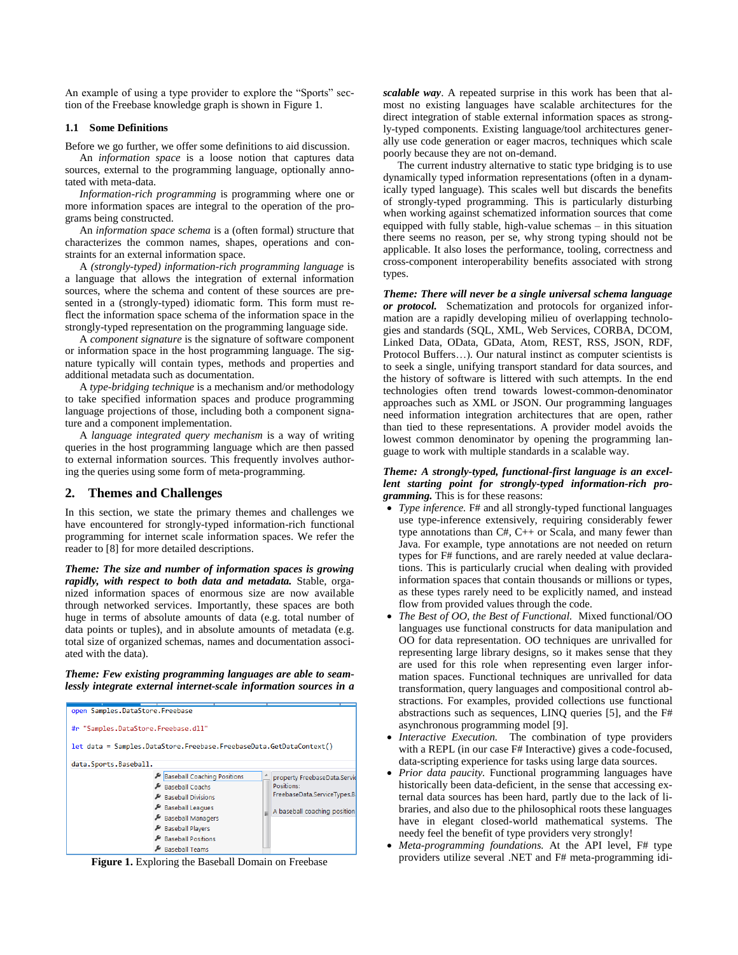An example of using a type provider to explore the "Sports" section of the Freebase knowledge graph is shown in Figure 1.

#### **1.1 Some Definitions**

Before we go further, we offer some definitions to aid discussion.

An *information space* is a loose notion that captures data sources, external to the programming language, optionally annotated with meta-data.

*Information-rich programming* is programming where one or more information spaces are integral to the operation of the programs being constructed.

An *information space schema* is a (often formal) structure that characterizes the common names, shapes, operations and constraints for an external information space.

A *(strongly-typed) information-rich programming language* is a language that allows the integration of external information sources, where the schema and content of these sources are presented in a (strongly-typed) idiomatic form. This form must reflect the information space schema of the information space in the strongly-typed representation on the programming language side.

A *component signature* is the signature of software component or information space in the host programming language. The signature typically will contain types, methods and properties and additional metadata such as documentation.

A *type-bridging technique* is a mechanism and/or methodology to take specified information spaces and produce programming language projections of those, including both a component signature and a component implementation.

A *language integrated query mechanism* is a way of writing queries in the host programming language which are then passed to external information sources. This frequently involves authoring the queries using some form of meta-programming.

#### **2. Themes and Challenges**

In this section, we state the primary themes and challenges we have encountered for strongly-typed information-rich functional programming for internet scale information spaces. We refer the reader to [8] for more detailed descriptions.

*Theme: The size and number of information spaces is growing rapidly, with respect to both data and metadata.* Stable, organized information spaces of enormous size are now available through networked services. Importantly, these spaces are both huge in terms of absolute amounts of data (e.g. total number of data points or tuples), and in absolute amounts of metadata (e.g. total size of organized schemas, names and documentation associated with the data).

*Theme: Few existing programming languages are able to seamlessly integrate external internet-scale information sources in a* 



*scalable way*. A repeated surprise in this work has been that almost no existing languages have scalable architectures for the direct integration of stable external information spaces as strongly-typed components. Existing language/tool architectures generally use code generation or eager macros, techniques which scale poorly because they are not on-demand.

The current industry alternative to static type bridging is to use dynamically typed information representations (often in a dynamically typed language). This scales well but discards the benefits of strongly-typed programming. This is particularly disturbing when working against schematized information sources that come equipped with fully stable, high-value schemas – in this situation there seems no reason, per se, why strong typing should not be applicable. It also loses the performance, tooling, correctness and cross-component interoperability benefits associated with strong types.

*Theme: There will never be a single universal schema language or protocol.* Schematization and protocols for organized information are a rapidly developing milieu of overlapping technologies and standards (SQL, XML, Web Services, CORBA, DCOM, Linked Data, OData, GData, Atom, REST, RSS, JSON, RDF, Protocol Buffers…). Our natural instinct as computer scientists is to seek a single, unifying transport standard for data sources, and the history of software is littered with such attempts. In the end technologies often trend towards lowest-common-denominator approaches such as XML or JSON. Our programming languages need information integration architectures that are open, rather than tied to these representations. A provider model avoids the lowest common denominator by opening the programming language to work with multiple standards in a scalable way.

## *Theme: A strongly-typed, functional-first language is an excellent starting point for strongly-typed information-rich programming.* This is for these reasons:

- *Type inference.* F# and all strongly-typed functional languages use type-inference extensively, requiring considerably fewer type annotations than C#, C++ or Scala, and many fewer than Java. For example, type annotations are not needed on return types for F# functions, and are rarely needed at value declarations. This is particularly crucial when dealing with provided information spaces that contain thousands or millions or types, as these types rarely need to be explicitly named, and instead flow from provided values through the code.
- *The Best of OO, the Best of Functional.* Mixed functional/OO languages use functional constructs for data manipulation and OO for data representation. OO techniques are unrivalled for representing large library designs, so it makes sense that they are used for this role when representing even larger information spaces. Functional techniques are unrivalled for data transformation, query languages and compositional control abstractions. For examples, provided collections use functional abstractions such as sequences, LINQ queries [5], and the F# asynchronous programming model [9].
- *Interactive Execution.* The combination of type providers with a REPL (in our case F# Interactive) gives a code-focused, data-scripting experience for tasks using large data sources.
- *Prior data paucity.* Functional programming languages have historically been data-deficient, in the sense that accessing external data sources has been hard, partly due to the lack of libraries, and also due to the philosophical roots these languages have in elegant closed-world mathematical systems. The needy feel the benefit of type providers very strongly!
- *Meta-programming foundations.* At the API level, F# type **Providers utilize several .NET and F# meta-programming idi- Figure 1.** Exploring the Baseball Domain on Freebase **Figure 1.** Exploring the Baseball Domain on Freebase **Figure 1.** Exploring the Saseball Domain on Freebas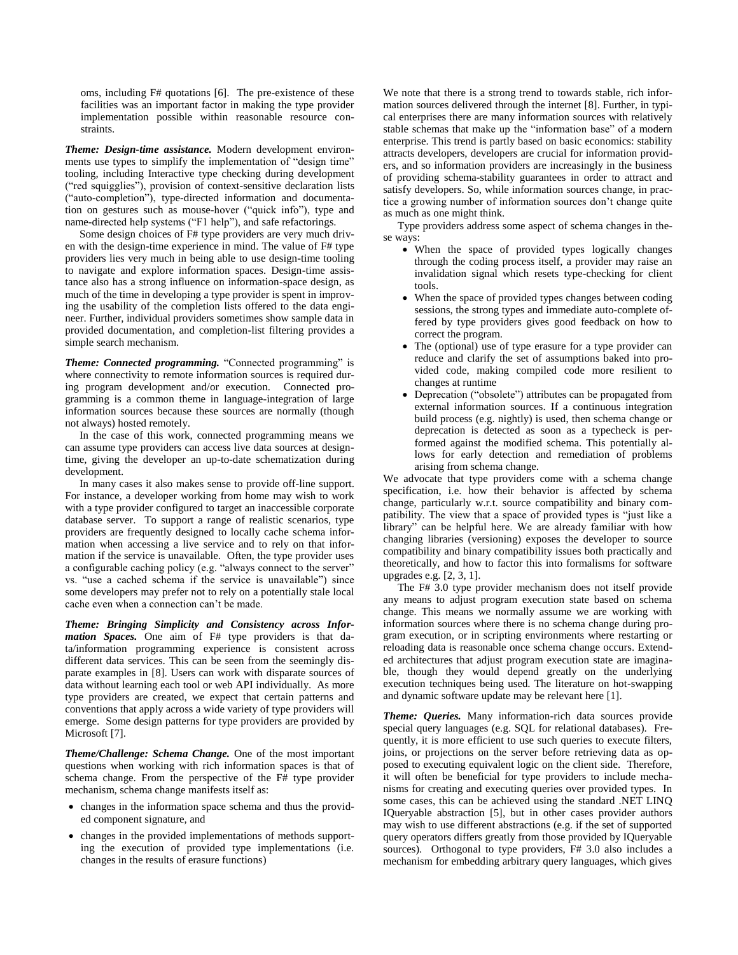oms, including F# quotations [6]. The pre-existence of these facilities was an important factor in making the type provider implementation possible within reasonable resource constraints.

*Theme: Design-time assistance.* Modern development environments use types to simplify the implementation of "design time" tooling, including Interactive type checking during development ("red squigglies"), provision of context-sensitive declaration lists ("auto-completion"), type-directed information and documentation on gestures such as mouse-hover ("quick info"), type and name-directed help systems ("F1 help"), and safe refactorings.

Some design choices of F# type providers are very much driven with the design-time experience in mind. The value of F# type providers lies very much in being able to use design-time tooling to navigate and explore information spaces. Design-time assistance also has a strong influence on information-space design, as much of the time in developing a type provider is spent in improving the usability of the completion lists offered to the data engineer. Further, individual providers sometimes show sample data in provided documentation, and completion-list filtering provides a simple search mechanism.

*Theme: Connected programming.* "Connected programming" is where connectivity to remote information sources is required during program development and/or execution. Connected programming is a common theme in language-integration of large information sources because these sources are normally (though not always) hosted remotely.

In the case of this work, connected programming means we can assume type providers can access live data sources at designtime, giving the developer an up-to-date schematization during development.

In many cases it also makes sense to provide off-line support. For instance, a developer working from home may wish to work with a type provider configured to target an inaccessible corporate database server. To support a range of realistic scenarios, type providers are frequently designed to locally cache schema information when accessing a live service and to rely on that information if the service is unavailable. Often, the type provider uses a configurable caching policy (e.g. "always connect to the server" vs. "use a cached schema if the service is unavailable") since some developers may prefer not to rely on a potentially stale local cache even when a connection can't be made.

*Theme: Bringing Simplicity and Consistency across Information Spaces.* One aim of F# type providers is that data/information programming experience is consistent across different data services. This can be seen from the seemingly disparate examples in [8]. Users can work with disparate sources of data without learning each tool or web API individually. As more type providers are created, we expect that certain patterns and conventions that apply across a wide variety of type providers will emerge. Some design patterns for type providers are provided by Microsoft [7].

*Theme/Challenge: Schema Change.* One of the most important questions when working with rich information spaces is that of schema change. From the perspective of the F# type provider mechanism, schema change manifests itself as:

- changes in the information space schema and thus the provided component signature, and
- changes in the provided implementations of methods supporting the execution of provided type implementations (i.e. changes in the results of erasure functions)

We note that there is a strong trend to towards stable, rich information sources delivered through the internet [8]. Further, in typical enterprises there are many information sources with relatively stable schemas that make up the "information base" of a modern enterprise. This trend is partly based on basic economics: stability attracts developers, developers are crucial for information providers, and so information providers are increasingly in the business of providing schema-stability guarantees in order to attract and satisfy developers. So, while information sources change, in practice a growing number of information sources don't change quite as much as one might think.

Type providers address some aspect of schema changes in these ways:

- When the space of provided types logically changes through the coding process itself, a provider may raise an invalidation signal which resets type-checking for client tools.
- When the space of provided types changes between coding sessions, the strong types and immediate auto-complete offered by type providers gives good feedback on how to correct the program.
- The (optional) use of type erasure for a type provider can reduce and clarify the set of assumptions baked into provided code, making compiled code more resilient to changes at runtime
- Deprecation ("obsolete") attributes can be propagated from external information sources. If a continuous integration build process (e.g. nightly) is used, then schema change or deprecation is detected as soon as a typecheck is performed against the modified schema. This potentially allows for early detection and remediation of problems arising from schema change.

We advocate that type providers come with a schema change specification, i.e. how their behavior is affected by schema change, particularly w.r.t. source compatibility and binary compatibility. The view that a space of provided types is "just like a library" can be helpful here. We are already familiar with how changing libraries (versioning) exposes the developer to source compatibility and binary compatibility issues both practically and theoretically, and how to factor this into formalisms for software upgrades e.g. [2, 3, 1].

The F# 3.0 type provider mechanism does not itself provide any means to adjust program execution state based on schema change. This means we normally assume we are working with information sources where there is no schema change during program execution, or in scripting environments where restarting or reloading data is reasonable once schema change occurs. Extended architectures that adjust program execution state are imaginable, though they would depend greatly on the underlying execution techniques being used. The literature on hot-swapping and dynamic software update may be relevant here [1].

*Theme: Queries.* Many information-rich data sources provide special query languages (e.g. SQL for relational databases). Frequently, it is more efficient to use such queries to execute filters, joins, or projections on the server before retrieving data as opposed to executing equivalent logic on the client side. Therefore, it will often be beneficial for type providers to include mechanisms for creating and executing queries over provided types. In some cases, this can be achieved using the standard .NET LINQ IQueryable abstraction [5], but in other cases provider authors may wish to use different abstractions (e.g. if the set of supported query operators differs greatly from those provided by IQueryable sources). Orthogonal to type providers, F# 3.0 also includes a mechanism for embedding arbitrary query languages, which gives